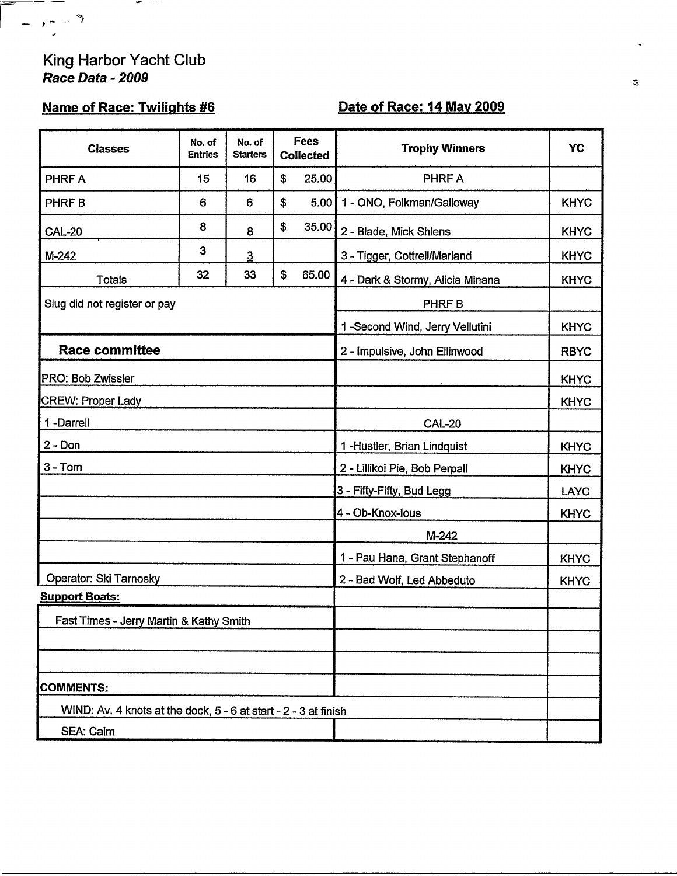#### King Harbor Yacht Club Race Data - 2009

 $\overline{\phantom{a}}$ 

 $\overline{\phantom{a}}$ 

 $e^-\rightarrow$  3

# **Name of Race: Twilights #6**

# Date of Race: 14 May 2009

| <b>Classes</b>                                                  | No. of<br><b>Entries</b> | No. of<br><b>Starters</b>     | <b>Fees</b><br><b>Collected</b> |                               | <b>Trophy Winners</b>            | YC          |
|-----------------------------------------------------------------|--------------------------|-------------------------------|---------------------------------|-------------------------------|----------------------------------|-------------|
| PHRF A                                                          | 15                       | 16                            | \$                              | 25.00                         | PHRF A                           |             |
| <b>PHRFB</b>                                                    | 6                        | 6                             | \$                              | 5.00                          | 1 - ONO, Folkman/Galloway        | <b>KHYC</b> |
| <b>CAL-20</b>                                                   | 8                        | 8                             | \$                              | 35.00                         | 2 - Blade, Mick Shlens           | <b>KHYC</b> |
| $M-242$                                                         | 3                        | $\overline{3}$                |                                 |                               | 3 - Tigger, Cottrell/Marland     | <b>KHYC</b> |
| Totals                                                          | 32                       | 33                            | \$                              | 65.00                         | 4 - Dark & Stormy, Alicia Minana | <b>KHYC</b> |
| Slug did not register or pay                                    |                          |                               |                                 | PHRF B                        |                                  |             |
|                                                                 |                          |                               |                                 |                               | 1-Second Wind, Jerry Vellutini   | <b>KHYC</b> |
| <b>Race committee</b>                                           |                          |                               |                                 | 2 - Impulsive, John Ellinwood | <b>RBYC</b>                      |             |
| PRO: Bob Zwissler                                               |                          |                               |                                 |                               |                                  | <b>KHYC</b> |
| <b>CREW: Proper Lady</b>                                        |                          |                               |                                 |                               |                                  | <b>KHYC</b> |
| 1-Darrell                                                       |                          |                               |                                 |                               | <b>CAL-20</b>                    |             |
| $2 - Don$                                                       |                          |                               |                                 | 1-Hustler, Brian Lindquist    | <b>KHYC</b>                      |             |
| $3 - Tom$                                                       |                          | 2 - Lillikoi Pie, Bob Perpall | <b>KHYC</b>                     |                               |                                  |             |
|                                                                 |                          |                               |                                 |                               | 3 - Fifty-Fifty, Bud Legg        | <b>LAYC</b> |
|                                                                 |                          |                               |                                 |                               | 4 - Ob-Knox-Ious                 | <b>KHYC</b> |
|                                                                 |                          |                               |                                 |                               | M-242                            |             |
|                                                                 |                          |                               |                                 |                               | 1 - Pau Hana, Grant Stephanoff   | <b>KHYC</b> |
| Operator: Ski Tarnosky                                          |                          |                               |                                 |                               | 2 - Bad Wolf, Led Abbeduto       | <b>KHYC</b> |
| <b>Support Boats:</b>                                           |                          |                               |                                 |                               |                                  |             |
| Fast Times - Jerry Martin & Kathy Smith                         |                          |                               |                                 |                               |                                  |             |
|                                                                 |                          |                               |                                 |                               |                                  |             |
|                                                                 |                          |                               |                                 |                               |                                  |             |
| <b>COMMENTS:</b>                                                |                          |                               |                                 |                               |                                  |             |
| WIND: Av. 4 knots at the dock, 5 - 6 at start - 2 - 3 at finish |                          |                               |                                 |                               |                                  |             |
| SEA: Calm                                                       |                          |                               |                                 |                               |                                  |             |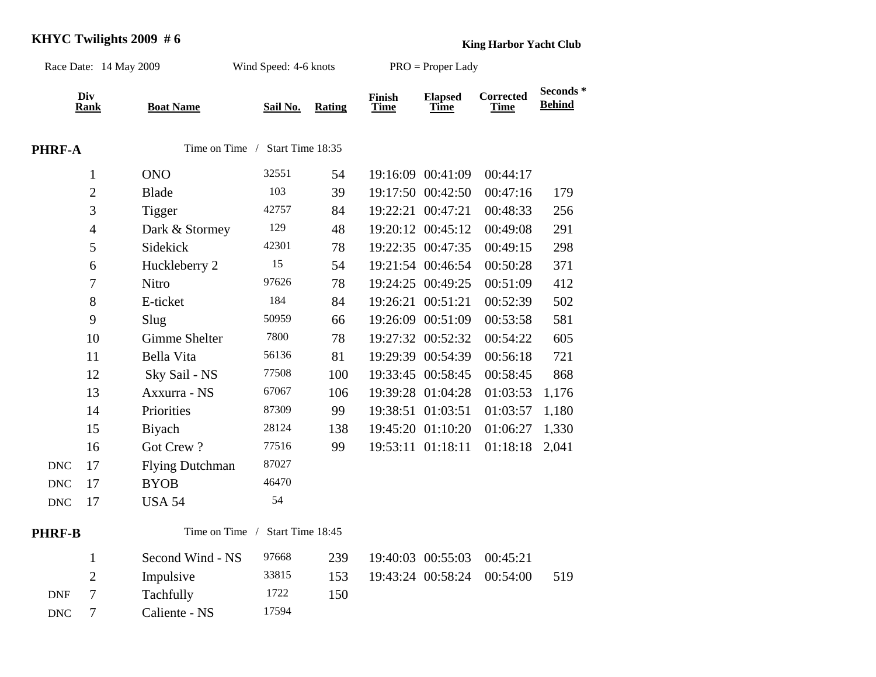# **KHYC Twilights 2009 #6 King Harbor Yacht Club**

| Race Date: 14 May 2009 |                    |                                 | Wind Speed: 4-6 knots |               | PRO = Proper Lady     |                               |                                 |                           |
|------------------------|--------------------|---------------------------------|-----------------------|---------------|-----------------------|-------------------------------|---------------------------------|---------------------------|
|                        | Div<br><b>Rank</b> | <b>Boat Name</b>                | Sail No.              | <b>Rating</b> | Finish<br><b>Time</b> | <b>Elapsed</b><br><b>Time</b> | <b>Corrected</b><br><b>Time</b> | Seconds*<br><b>Behind</b> |
| PHRF-A                 |                    | Time on Time / Start Time 18:35 |                       |               |                       |                               |                                 |                           |
|                        | $\mathbf{1}$       | <b>ONO</b>                      | 32551                 | 54            |                       | 19:16:09 00:41:09             | 00:44:17                        |                           |
|                        | $\sqrt{2}$         | <b>Blade</b>                    | 103                   | 39            |                       | 19:17:50 00:42:50             | 00:47:16                        | 179                       |
|                        | 3                  | Tigger                          | 42757                 | 84            |                       | 19:22:21 00:47:21             | 00:48:33                        | 256                       |
|                        | $\overline{4}$     | Dark & Stormey                  | 129                   | 48            |                       | 19:20:12 00:45:12             | 00:49:08                        | 291                       |
|                        | 5                  | Sidekick                        | 42301                 | 78            |                       | 19:22:35 00:47:35             | 00:49:15                        | 298                       |
|                        | 6                  | Huckleberry 2                   | 15                    | 54            |                       | 19:21:54 00:46:54             | 00:50:28                        | 371                       |
|                        | $\boldsymbol{7}$   | Nitro                           | 97626                 | 78            |                       | 19:24:25 00:49:25             | 00:51:09                        | 412                       |
|                        | 8                  | E-ticket                        | 184                   | 84            | 19:26:21              | 00:51:21                      | 00:52:39                        | 502                       |
|                        | 9                  | Slug                            | 50959                 | 66            |                       | 19:26:09 00:51:09             | 00:53:58                        | 581                       |
|                        | 10                 | <b>Gimme Shelter</b>            | 7800                  | 78            |                       | 19:27:32 00:52:32             | 00:54:22                        | 605                       |
|                        | 11                 | Bella Vita                      | 56136                 | 81            |                       | 19:29:39 00:54:39             | 00:56:18                        | 721                       |
|                        | 12                 | Sky Sail - NS                   | 77508                 | 100           |                       | 19:33:45 00:58:45             | 00:58:45                        | 868                       |
|                        | 13                 | Axxurra - NS                    | 67067                 | 106           |                       | 19:39:28 01:04:28             | 01:03:53                        | 1,176                     |
|                        | 14                 | Priorities                      | 87309                 | 99            |                       | 19:38:51 01:03:51             | 01:03:57                        | 1,180                     |
|                        | 15                 | Biyach                          | 28124                 | 138           |                       | 19:45:20 01:10:20             | 01:06:27                        | 1,330                     |
|                        | 16                 | Got Crew?                       | 77516                 | 99            |                       | 19:53:11 01:18:11             | 01:18:18                        | 2,041                     |
| <b>DNC</b>             | 17                 | <b>Flying Dutchman</b>          | 87027                 |               |                       |                               |                                 |                           |
| <b>DNC</b>             | 17                 | <b>BYOB</b>                     | 46470                 |               |                       |                               |                                 |                           |
| <b>DNC</b>             | 17                 | <b>USA 54</b>                   | 54                    |               |                       |                               |                                 |                           |
| PHRF-B                 |                    | Time on Time /                  | Start Time 18:45      |               |                       |                               |                                 |                           |
|                        | $\mathbf{1}$       | Second Wind - NS                | 97668                 | 239           |                       | 19:40:03 00:55:03             | 00:45:21                        |                           |
|                        | $\overline{2}$     | Impulsive                       | 33815                 | 153           |                       | 19:43:24 00:58:24             | 00:54:00                        | 519                       |
| <b>DNF</b>             | $\overline{7}$     | Tachfully                       | 1722                  | 150           |                       |                               |                                 |                           |
| <b>DNC</b>             | $\tau$             | Caliente - NS                   | 17594                 |               |                       |                               |                                 |                           |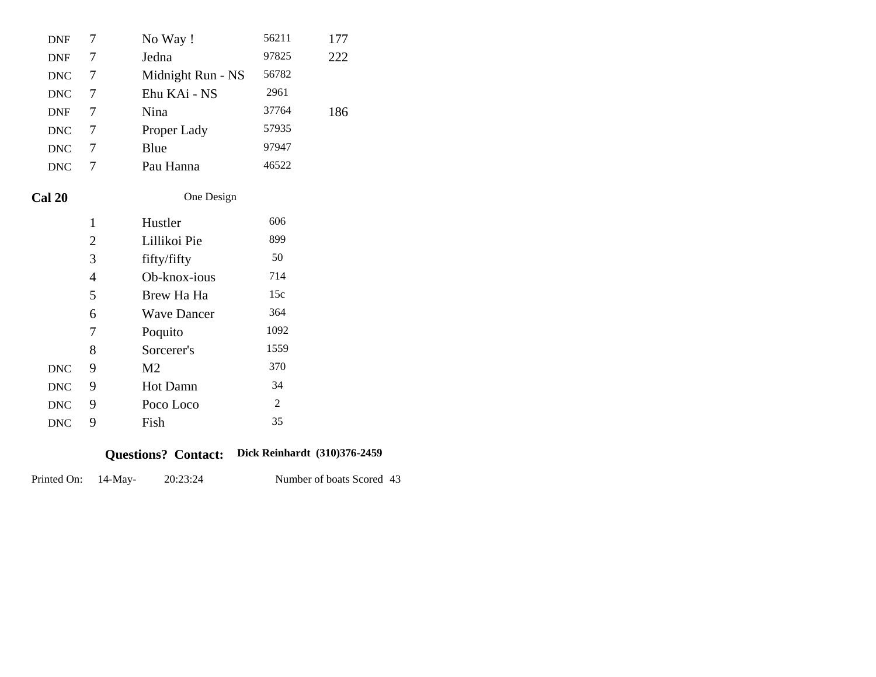| <b>DNF</b>  | 7              | 56211<br>No Way!           |            |                        |                 |
|-------------|----------------|----------------------------|------------|------------------------|-----------------|
| <b>DNF</b>  | 7              | Jedna                      |            | 97825                  | 222             |
| <b>DNC</b>  | 7              | Midnight Run - NS          |            | 56782                  |                 |
| <b>DNC</b>  | 7              | 2961<br>Ehu KAi - NS       |            |                        |                 |
| <b>DNF</b>  | 7              | 37764<br>Nina<br>186       |            |                        |                 |
| <b>DNC</b>  | 7              | 57935<br>Proper Lady       |            |                        |                 |
| <b>DNC</b>  | 7              | 97947<br>Blue              |            |                        |                 |
| <b>DNC</b>  | 7              | 46522<br>Pau Hanna         |            |                        |                 |
| Cal 20      |                |                            | One Design |                        |                 |
|             | 1              | Hustler                    |            | 606                    |                 |
|             | $\mathbf{2}$   | Lillikoi Pie               |            | 899                    |                 |
|             | 3              | fifty/fifty                |            | 50                     |                 |
|             | $\overline{4}$ | Ob-knox-ious               |            | 714                    |                 |
|             | 5              | Brew Ha Ha                 |            | 15c                    |                 |
|             | 6              | <b>Wave Dancer</b>         |            | 364                    |                 |
|             | 7              | Poquito                    |            | 1092                   |                 |
|             | 8              | Sorcerer's                 |            | 1559                   |                 |
| <b>DNC</b>  | 9              | M <sub>2</sub>             |            | 370                    |                 |
| <b>DNC</b>  | 9              | Hot Damn                   |            | 34                     |                 |
| <b>DNC</b>  | 9              | Poco Loco                  |            | 2                      |                 |
| <b>DNC</b>  | 9              | Fish                       |            | 35                     |                 |
|             |                | <b>Questions? Contact:</b> |            | Dick Reinhardt (310)37 |                 |
| Printed On: | $14$ -May-     | 20:23:24                   |            |                        | Number of boats |

#### **Dick Reinhardt (310)376-2459 Questions? Contact:**

Number of boats Scored 43 20:23:24 Printed On: 14-May-